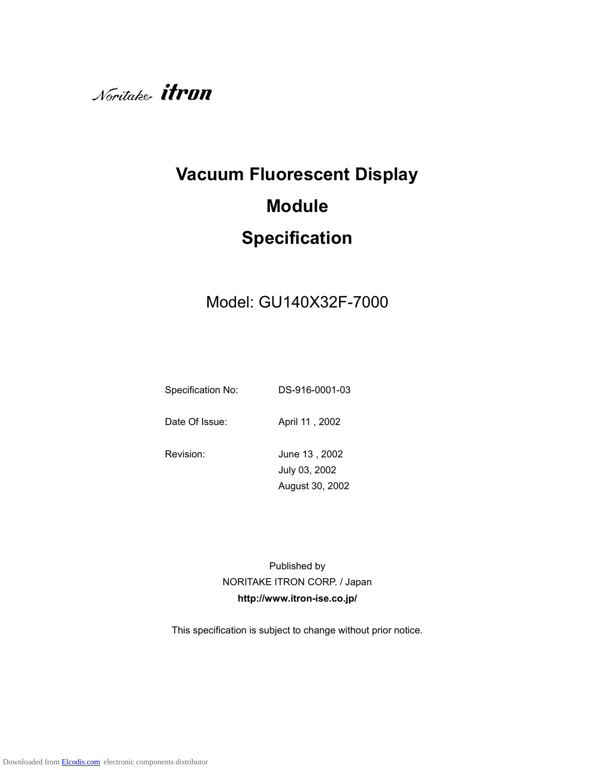

# **Vacuum Fluorescent Display Module Specification**

# Model: GU140X32F-7000

Specification No: DS-916-0001-03

Date Of Issue: April 11, 2002

Revision: June 13, 2002 July 03, 2002 August 30, 2002

> Published by NORITAKE ITRON CORP. / Japan **http://www.itron-ise.co.jp/**

This specification is subject to change without prior notice.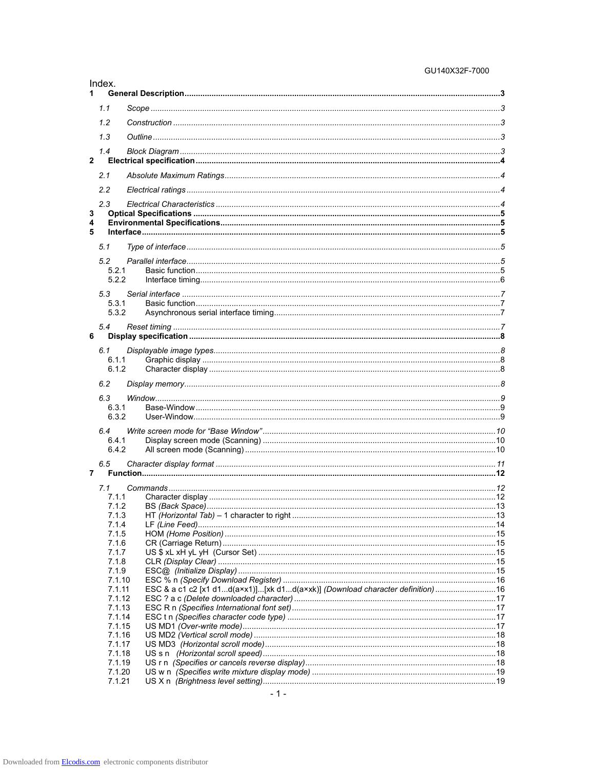#### GU140X32F-7000

| Index.<br>1      |                                                                                |  |
|------------------|--------------------------------------------------------------------------------|--|
| 1.1              |                                                                                |  |
|                  |                                                                                |  |
| 1.2              |                                                                                |  |
| 1.3              |                                                                                |  |
| 1.4              |                                                                                |  |
| $\mathbf{2}$     |                                                                                |  |
| 2.1              |                                                                                |  |
| 2.2              |                                                                                |  |
| 2.3              |                                                                                |  |
| 3                |                                                                                |  |
| 4<br>5           |                                                                                |  |
| 5.1              |                                                                                |  |
|                  |                                                                                |  |
| 5.2<br>5.2.1     |                                                                                |  |
| 5.2.2            |                                                                                |  |
|                  |                                                                                |  |
| 5.3<br>5.3.1     |                                                                                |  |
| 5.3.2            |                                                                                |  |
| 5.4              |                                                                                |  |
| 6                |                                                                                |  |
| 6.1              |                                                                                |  |
| 6.1.1            |                                                                                |  |
| 6.1.2            |                                                                                |  |
| 6.2              |                                                                                |  |
| 6.3              |                                                                                |  |
| 6.3.1            |                                                                                |  |
| 6.3.2            |                                                                                |  |
| 6.4              |                                                                                |  |
| 6.4.1            |                                                                                |  |
| 6.4.2            |                                                                                |  |
| 6.5              |                                                                                |  |
| 7                |                                                                                |  |
| 7.1              |                                                                                |  |
| 7.1.1            |                                                                                |  |
| 7.1.2<br>7.1.3   |                                                                                |  |
|                  |                                                                                |  |
| 7.1.4            |                                                                                |  |
| 7.1.5            |                                                                                |  |
| 7.1.6            |                                                                                |  |
| 7.1.7            |                                                                                |  |
| 7.1.8<br>7.1.9   |                                                                                |  |
| 7.1.10           |                                                                                |  |
| 7.1.11           | ESC & a c1 c2 [x1 d1d(a×x1)][xk d1d(a×xk)] (Download character definition)  16 |  |
| 7.1.12           |                                                                                |  |
| 7.1.13<br>7.1.14 |                                                                                |  |
| 7.1.15           |                                                                                |  |
| 7.1.16           |                                                                                |  |
| 7.1.17           |                                                                                |  |
| 7.1.18           |                                                                                |  |
| 7.1.19<br>7.1.20 |                                                                                |  |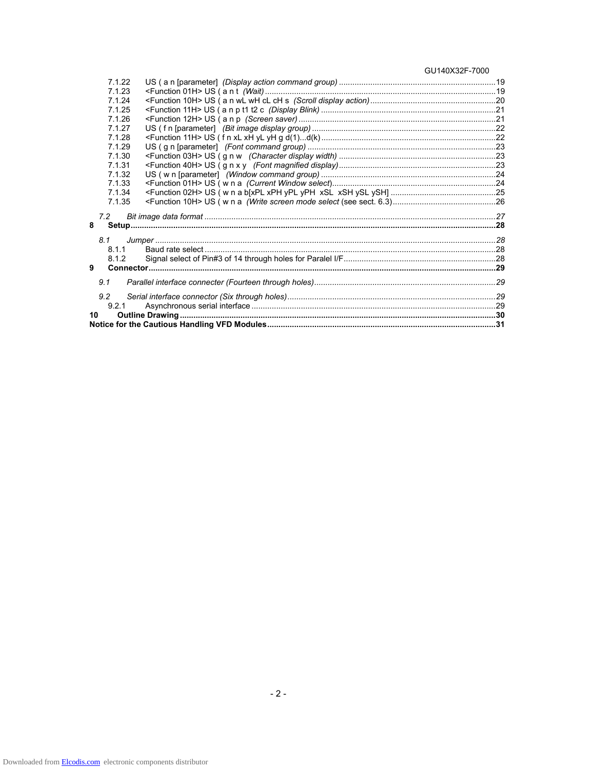GU140X32F-7000

| 7.1.22 |  |
|--------|--|
| 7.1.23 |  |
| 7.1.24 |  |
| 7.1.25 |  |
| 7.1.26 |  |
| 7.1.27 |  |
| 7.1.28 |  |
| 7.1.29 |  |
| 7.1.30 |  |
| 7.1.31 |  |
| 7.1.32 |  |
| 7.1.33 |  |
| 7.1.34 |  |
| 7.1.35 |  |
|        |  |
| 7.2    |  |
| 8      |  |
| 8.1    |  |
| 8.1.1  |  |
| 8.1.2  |  |
| 9      |  |
|        |  |
| 9.1    |  |
| 9.2    |  |
| 921    |  |
|        |  |
| 10     |  |
|        |  |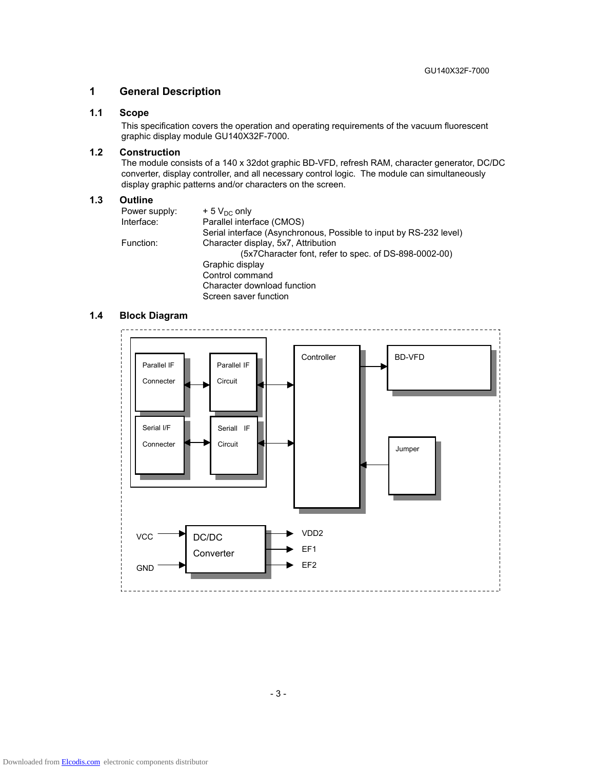#### **1 General Description**

# **1.1 Scope**

This specification covers the operation and operating requirements of the vacuum fluorescent graphic display module GU140X32F-7000.

#### **1.2 Construction**

The module consists of a 140 x 32dot graphic BD-VFD, refresh RAM, character generator, DC/DC converter, display controller, and all necessary control logic. The module can simultaneously display graphic patterns and/or characters on the screen.

#### **1.3 Outline**

| Power supply: | $+5$ V <sub>DC</sub> only                                          |
|---------------|--------------------------------------------------------------------|
| Interface:    | Parallel interface (CMOS)                                          |
|               | Serial interface (Asynchronous, Possible to input by RS-232 level) |
| Function:     | Character display, 5x7, Attribution                                |
|               | (5x7Character font, refer to spec. of DS-898-0002-00)              |
|               | Graphic display                                                    |
|               | Control command                                                    |
|               | Character download function                                        |
|               | Screen saver function                                              |

#### **1.4 Block Diagram**

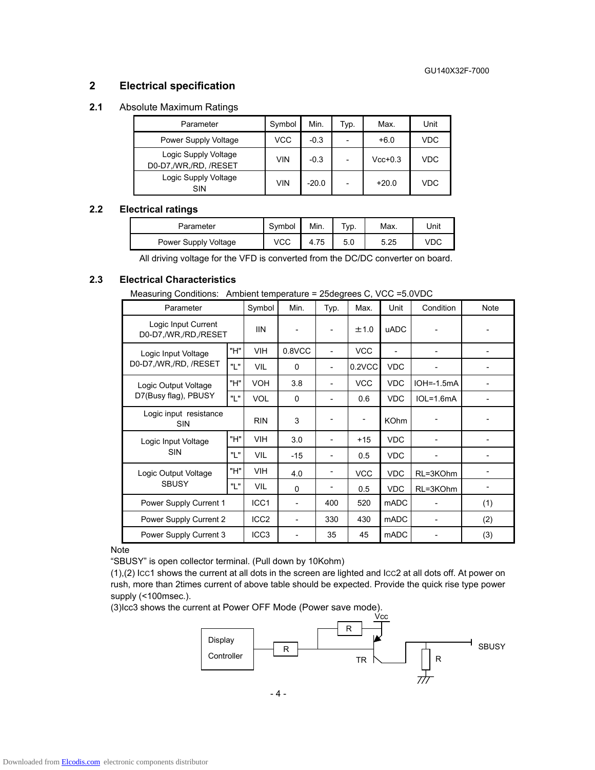# **2 Electrical specification**

# **2.1** Absolute Maximum Ratings

| Parameter                                     | Symbol     | Min.    | Typ. | Max.      | Unit |
|-----------------------------------------------|------------|---------|------|-----------|------|
| Power Supply Voltage                          | <b>VCC</b> | $-0.3$  |      | $+6.0$    | VDC. |
| Logic Supply Voltage<br>D0-D7,/WR,/RD, /RESET | <b>VIN</b> | $-0.3$  |      | $Vcc+0.3$ | VDC  |
| Logic Supply Voltage<br>SIN                   | VIN        | $-20.0$ |      | $+20.0$   | VDC  |

#### **2.2 Electrical ratings**

| Parameter            | Symbol | Min. | $TVP$ . | Max. | Unit |
|----------------------|--------|------|---------|------|------|
| Power Supply Voltage | VCC    |      | 5.0     | 5.25 |      |

All driving voltage for the VFD is converted from the DC/DC converter on board.

#### **2.3 Electrical Characteristics**

Measuring Conditions: Ambient temperature = 25degrees C, VCC =5.0VDC

| Parameter                                   |     | Symbol           | Min.                     | Typ. | Max.       | Unit                     | Condition    | Note |
|---------------------------------------------|-----|------------------|--------------------------|------|------------|--------------------------|--------------|------|
| Logic Input Current<br>D0-D7,/WR,/RD,/RESET |     | <b>IIN</b>       |                          |      | ±1.0       | <b>uADC</b>              |              |      |
| Logic Input Voltage                         | "H" | <b>VIH</b>       | 0.8VCC                   |      | <b>VCC</b> | $\overline{\phantom{a}}$ |              |      |
| D0-D7,/WR,/RD, /RESET                       | "L" | <b>VIL</b>       | $\Omega$                 |      | 0.2VCC     | <b>VDC</b>               |              |      |
| Logic Output Voltage                        | "H" | <b>VOH</b>       | 3.8                      |      | <b>VCC</b> | <b>VDC</b>               | $IOH=-1.5mA$ |      |
| D7(Busy flag), PBUSY                        | "L" | <b>VOL</b>       | $\Omega$                 |      | 0.6        | <b>VDC</b>               | $IOL=1.6mA$  |      |
| Logic input resistance<br><b>SIN</b>        |     | <b>RIN</b>       | 3                        |      |            | <b>KOhm</b>              |              |      |
| Logic Input Voltage                         | "H" | <b>VIH</b>       | 3.0                      |      | $+15$      | <b>VDC</b>               |              |      |
| <b>SIN</b>                                  | "L" | <b>VIL</b>       | $-15$                    |      | 0.5        | <b>VDC</b>               |              |      |
| Logic Output Voltage                        | "H" | <b>VIH</b>       | 4.0                      |      | <b>VCC</b> | <b>VDC</b>               | RL=3KOhm     |      |
| <b>SBUSY</b>                                | "L" | <b>VIL</b>       | $\Omega$                 |      | 0.5        | <b>VDC</b>               | RL=3KOhm     |      |
| Power Supply Current 1                      |     | ICC1             | $\overline{\phantom{a}}$ | 400  | 520        | <b>mADC</b>              |              | (1)  |
| Power Supply Current 2                      |     | ICC <sub>2</sub> | $\overline{\phantom{0}}$ | 330  | 430        | mADC                     |              | (2)  |
| Power Supply Current 3                      |     | ICC <sub>3</sub> |                          | 35   | 45         | <b>mADC</b>              |              | (3)  |

Note

"SBUSY" is open collector terminal. (Pull down by 10Kohm)

(1),(2) ICC1 shows the current at all dots in the screen are lighted and ICC2 at all dots off. At power on rush, more than 2times current of above table should be expected. Provide the quick rise type power supply (<100msec.).

(3)Icc3 shows the current at Power OFF Mode (Power save mode).

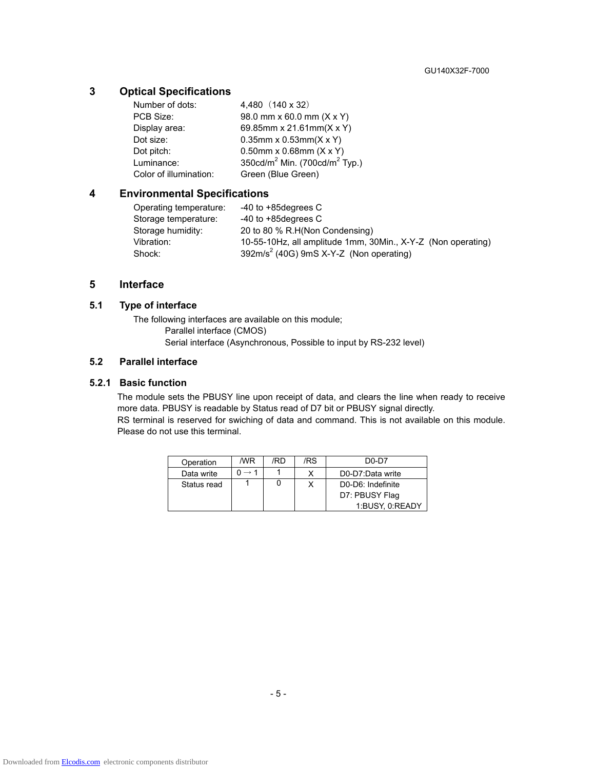# **3 Optical Specifications**

| Number of dots:        | 4,480 (140 x 32)                                      |
|------------------------|-------------------------------------------------------|
| PCB Size:              | 98.0 mm x 60.0 mm (X x Y)                             |
| Display area:          | 69.85mm x 21.61mm(X x Y)                              |
| Dot size:              | $0.35$ mm x 0.53mm(X x Y)                             |
| Dot pitch:             | $0.50$ mm x 0.68mm $(X \times Y)$                     |
| Luminance:             | 350cd/m <sup>2</sup> Min. (700cd/m <sup>2</sup> Typ.) |
| Color of illumination: | Green (Blue Green)                                    |

# **4 Environmental Specifications**

| Operating temperature: | $-40$ to $+85$ degrees C                                     |
|------------------------|--------------------------------------------------------------|
| Storage temperature:   | $-40$ to $+85$ degrees C                                     |
| Storage humidity:      | 20 to 80 % R.H(Non Condensing)                               |
| Vibration:             | 10-55-10Hz, all amplitude 1mm, 30Min., X-Y-Z (Non operating) |
| Shock:                 | $392m/s2$ (40G) 9mS X-Y-Z (Non operating)                    |

# **5 Interface**

#### **5.1 Type of interface**

The following interfaces are available on this module; Parallel interface (CMOS) Serial interface (Asynchronous, Possible to input by RS-232 level)

#### **5.2 Parallel interface**

#### **5.2.1 Basic function**

The module sets the PBUSY line upon receipt of data, and clears the line when ready to receive more data. PBUSY is readable by Status read of D7 bit or PBUSY signal directly. RS terminal is reserved for swiching of data and command. This is not available on this module. Please do not use this terminal.

| Operation   | /WR | /RD | /RS | $D0-D7$           |
|-------------|-----|-----|-----|-------------------|
| Data write  |     |     |     | D0-D7:Data write  |
| Status read |     |     |     | D0-D6: Indefinite |
|             |     |     |     | D7: PBUSY Flag    |
|             |     |     |     | 1:BUSY, 0:READY   |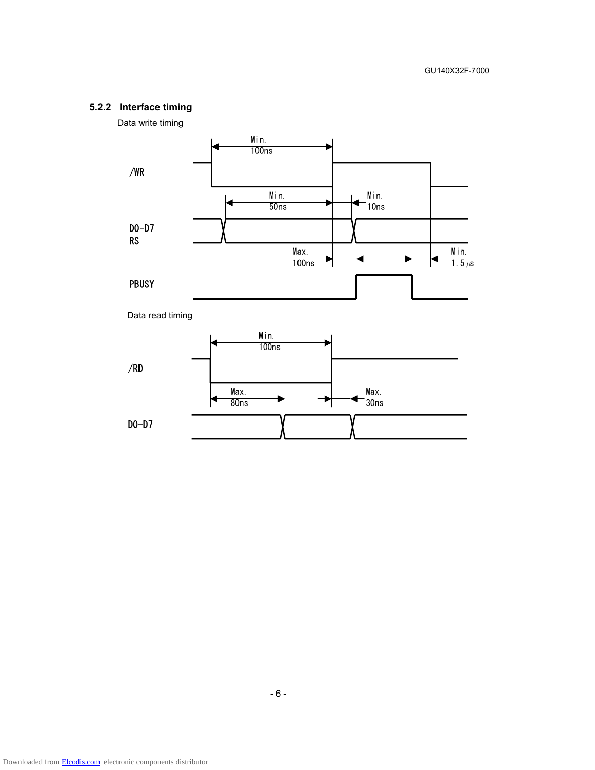# **5.2.2 Interface timing**





D0-D7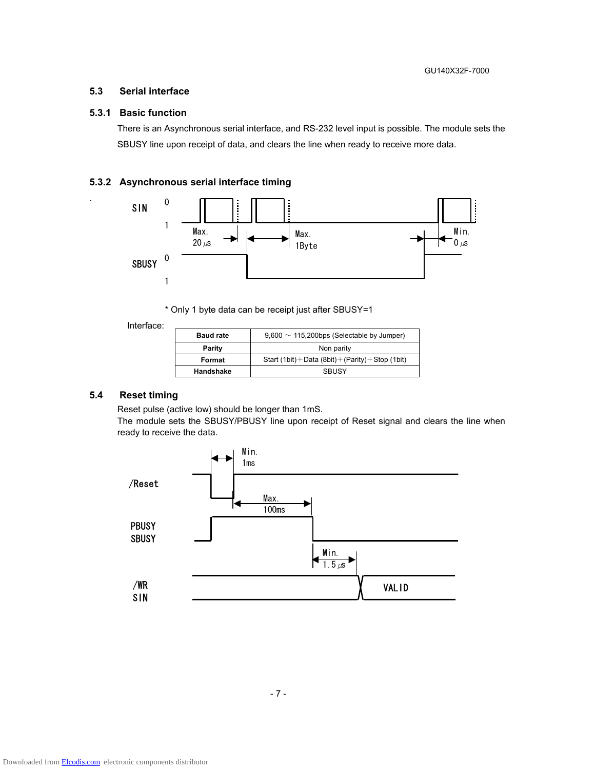### **5.3 Serial interface**

#### **5.3.1 Basic function**

.

There is an Asynchronous serial interface, and RS-232 level input is possible. The module sets the SBUSY line upon receipt of data, and clears the line when ready to receive more data.

#### **5.3.2 Asynchronous serial interface timing**



\* Only 1 byte data can be receipt just after SBUSY=1

Interface:

| <b>Baud rate</b> | $9,600 \sim 115,200$ bps (Selectable by Jumper)     |
|------------------|-----------------------------------------------------|
| Parity           | Non parity                                          |
| Format           | Start (1bit) + Data (8bit) + (Parity) + Stop (1bit) |
| Handshake        | <b>SBUSY</b>                                        |

#### **5.4 Reset timing**

Reset pulse (active low) should be longer than 1mS.

The module sets the SBUSY/PBUSY line upon receipt of Reset signal and clears the line when ready to receive the data.

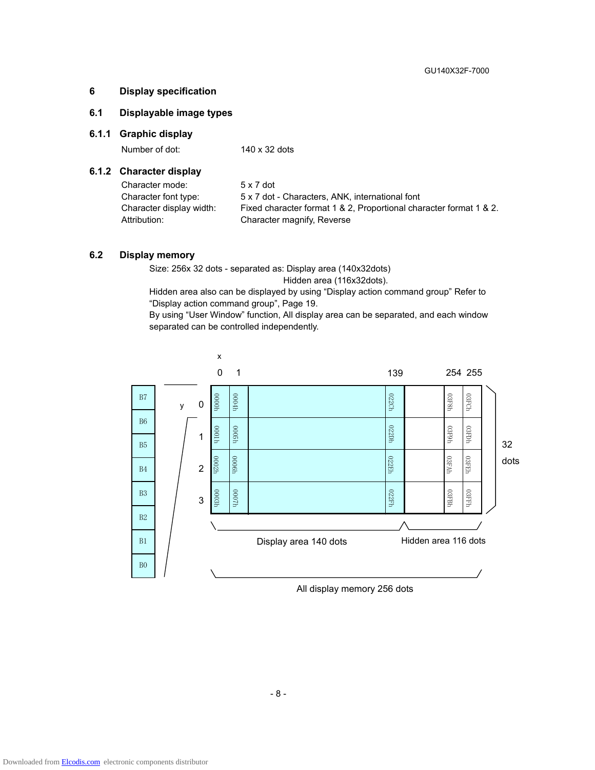#### **6 Display specification**

# **6.1 Displayable image types**

#### **6.1.1 Graphic display**

Number of dot: 140 x 32 dots

#### **6.1.2 Character display**

| Character mode:          | $5 \times 7$ dot                                                   |
|--------------------------|--------------------------------------------------------------------|
| Character font type:     | 5 x 7 dot - Characters, ANK, international font                    |
| Character display width: | Fixed character format 1 & 2, Proportional character format 1 & 2. |
| Attribution:             | Character magnify, Reverse                                         |

#### **6.2 Display memory**

Size: 256x 32 dots - separated as: Display area (140x32dots)

Hidden area (116x32dots).

Hidden area also can be displayed by using "Display action command group" Refer to "Display action command group", Page 19.

By using "User Window" function, All display area can be separated, and each window separated can be controlled independently.



All display memory 256 dots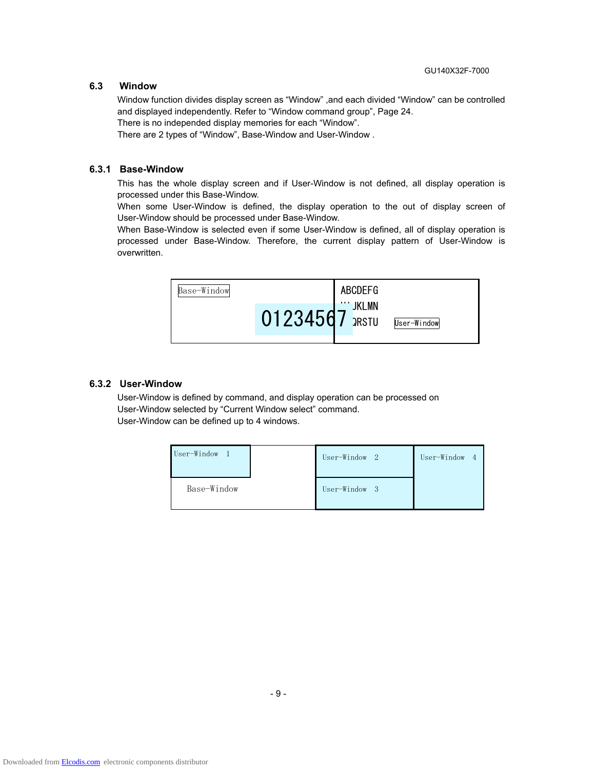#### **6.3 Window**

Window function divides display screen as "Window" ,and each divided "Window" can be controlled and displayed independently. Refer to "Window command group", Page 24.

There is no independed display memories for each "Window".

There are 2 types of "Window", Base-Window and User-Window .

#### **6.3.1 Base-Window**

This has the whole display screen and if User-Window is not defined, all display operation is processed under this Base-Window.

When some User-Window is defined, the display operation to the out of display screen of User-Window should be processed under Base-Window.

When Base-Window is selected even if some User-Window is defined, all of display operation is processed under Base-Window. Therefore, the current display pattern of User-Window is overwritten.



#### **6.3.2 User-Window**

User-Window is defined by command, and display operation can be processed on User-Window selected by "Current Window select" command. User-Window can be defined up to 4 windows.

| User-Window | User-Window 2 | User-Window 4 |
|-------------|---------------|---------------|
| Base-Window | User-Window 3 |               |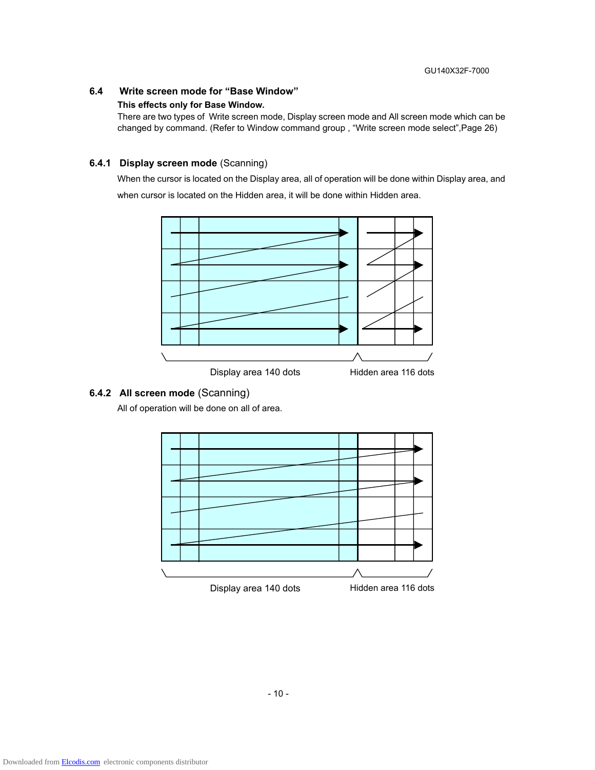# **6.4 Write screen mode for "Base Window"**

#### **This effects only for Base Window.**

There are two types of Write screen mode, Display screen mode and All screen mode which can be changed by command. (Refer to Window command group , "Write screen mode select",Page 26)

#### **6.4.1 Display screen mode** (Scanning)

When the cursor is located on the Display area, all of operation will be done within Display area, and when cursor is located on the Hidden area, it will be done within Hidden area.



#### **6.4.2 All screen mode** (Scanning)

All of operation will be done on all of area.

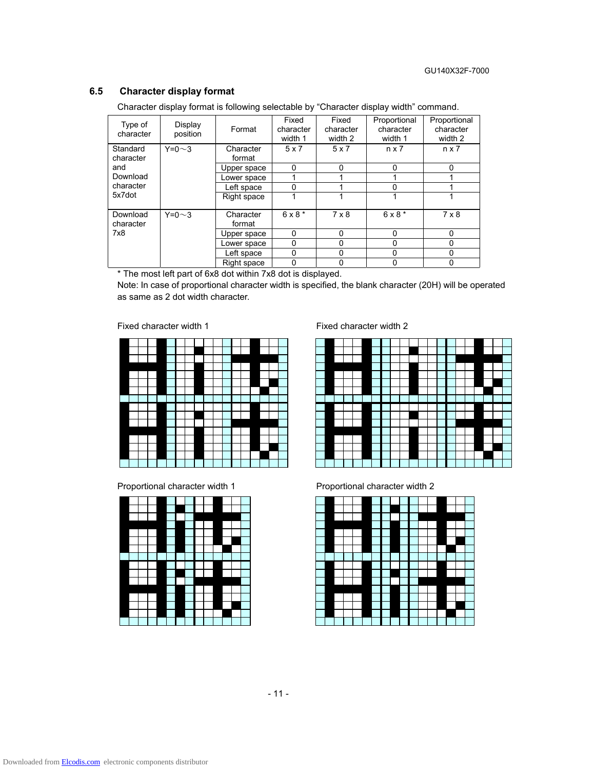# **6.5 Character display format**

Character display format is following selectable by "Character display width" command.

| Type of<br>character  | Display<br>position | Format              | Fixed<br>character<br>width 1 | Fixed<br>character<br>width 2 | Proportional<br>character<br>width 1 | Proportional<br>character<br>width 2 |
|-----------------------|---------------------|---------------------|-------------------------------|-------------------------------|--------------------------------------|--------------------------------------|
| Standard<br>character | $Y=0\sim3$          | Character<br>format | 5x7                           | 5x7                           | $n \times 7$                         | $n \times 7$                         |
| and                   |                     | Upper space         | 0                             | $\Omega$                      | $\Omega$                             | O                                    |
| Download              |                     | Lower space         |                               |                               |                                      |                                      |
| character             |                     | Left space          | ი                             |                               | 0                                    |                                      |
| 5x7dot                |                     | Right space         |                               |                               |                                      |                                      |
| Download<br>character | $Y=0\sim3$          | Character<br>format | $6 \times 8$ *                | $7 \times 8$                  | $6 \times 8$ *                       | $7 \times 8$                         |
| 7x8                   |                     | Upper space         | $\Omega$                      | 0                             | $\Omega$                             | O                                    |
|                       |                     | Lower space         | 0                             | $\Omega$                      | 0                                    | <sup>0</sup>                         |
|                       |                     | Left space          | $\Omega$                      | $\Omega$                      | 0                                    | 0                                    |
|                       |                     | Right space         | 0                             |                               | $\Omega$                             | 0                                    |

\* The most left part of 6x8 dot within 7x8 dot is displayed.

Note: In case of proportional character width is specified, the blank character (20H) will be operated as same as 2 dot width character.





Fixed character width 1 Fixed character width 2



Proportional character width 1 Proportional character width 2

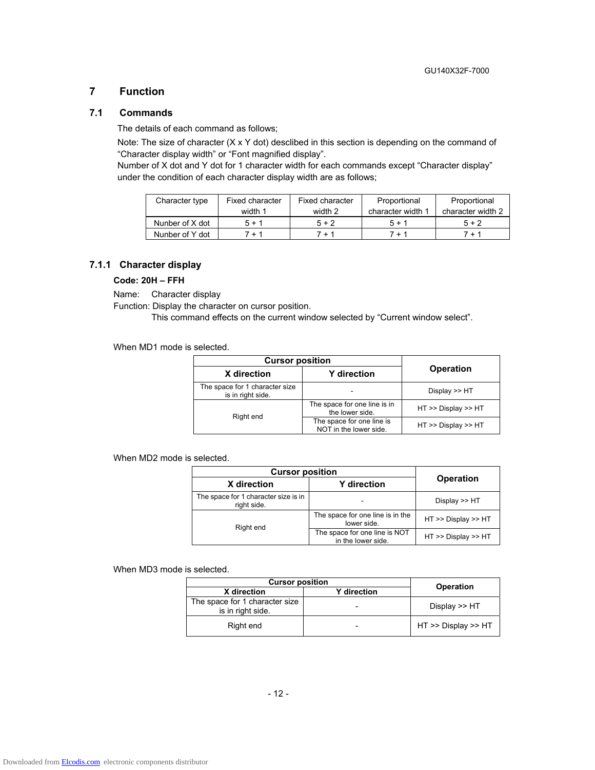#### **7 Function**

#### **7.1 Commands**

The details of each command as follows;

Note: The size of character (X x Y dot) desclibed in this section is depending on the command of "Character display width" or "Font magnified display".

Number of X dot and Y dot for 1 character width for each commands except "Character display" under the condition of each character display width are as follows;

| Character type  | Fixed character | Fixed character | Proportional      | Proportional      |
|-----------------|-----------------|-----------------|-------------------|-------------------|
|                 | width 1         | width 2         | character width 1 | character width 2 |
| Nunber of X dot | $5 + 1$         | $5 + 2$         | $5 + 1$           | $5 + 2$           |
| Nunber of Y dot | 7 + 1           | 7 + 1           | 7 + 1             | $7 + 1$           |

#### **7.1.1 Character display**

#### **Code: 20H – FFH**

Name: Character display

Function: Display the character on cursor position.

This command effects on the current window selected by "Current window select".

When MD1 mode is selected.

| <b>Cursor position</b>                              |                                                     |                     |  |
|-----------------------------------------------------|-----------------------------------------------------|---------------------|--|
| X direction                                         | <b>Y</b> direction                                  | <b>Operation</b>    |  |
| The space for 1 character size<br>is in right side. |                                                     | Display $>>$ HT     |  |
| Right end                                           | The space for one line is in<br>the lower side.     | HT >> Display >> HT |  |
|                                                     | The space for one line is<br>NOT in the lower side. | HT >> Display >> HT |  |

When MD2 mode is selected.

| <b>Cursor position</b>                              |                                                     |                     |  |
|-----------------------------------------------------|-----------------------------------------------------|---------------------|--|
| X direction                                         | <b>Y</b> direction                                  | <b>Operation</b>    |  |
| The space for 1 character size is in<br>right side. |                                                     | Display $>>$ HT     |  |
| Right end                                           | The space for one line is in the<br>lower side.     | HT >> Display >> HT |  |
|                                                     | The space for one line is NOT<br>in the lower side. | HT >> Display >> HT |  |

When MD3 mode is selected.

| <b>Cursor position</b>                              | <b>Operation</b>         |                     |
|-----------------------------------------------------|--------------------------|---------------------|
| X direction                                         |                          |                     |
| The space for 1 character size<br>is in right side. | $\overline{\phantom{0}}$ | Display $\gt$ HT    |
| Right end                                           | -                        | HT >> Display >> HT |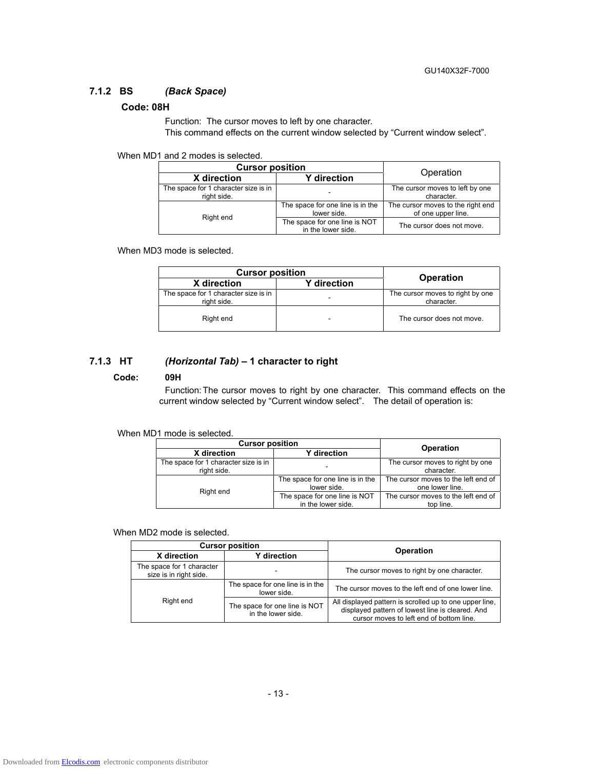# **7.1.2 BS** *(Back Space)*

#### **Code: 08H**

Function: The cursor moves to left by one character.

This command effects on the current window selected by "Current window select".

When MD1 and 2 modes is selected.

| <b>Cursor position</b>                              | Operation                                           |                                                         |
|-----------------------------------------------------|-----------------------------------------------------|---------------------------------------------------------|
| X direction                                         | <b>Y</b> direction                                  |                                                         |
| The space for 1 character size is in<br>right side. |                                                     | The cursor moves to left by one<br>character.           |
| Right end                                           | The space for one line is in the<br>lower side.     | The cursor moves to the right end<br>of one upper line. |
|                                                     | The space for one line is NOT<br>in the lower side. | The cursor does not move.                               |

When MD3 mode is selected.

| <b>Cursor position</b>                              |                          |                                                |
|-----------------------------------------------------|--------------------------|------------------------------------------------|
| X direction                                         | <b>Y</b> direction       | <b>Operation</b>                               |
| The space for 1 character size is in<br>right side. |                          | The cursor moves to right by one<br>character. |
| Right end                                           | $\overline{\phantom{a}}$ | The cursor does not move.                      |

#### **7.1.3 HT** *(Horizontal Tab)* **– 1 character to right**

#### **Code: 09H**

Function: The cursor moves to right by one character. This command effects on the current window selected by "Current window select". The detail of operation is:

#### When MD1 mode is selected.

| <b>Cursor position</b>                              | <b>Operation</b>                                    |                                                        |  |
|-----------------------------------------------------|-----------------------------------------------------|--------------------------------------------------------|--|
| X direction                                         | <b>Y</b> direction                                  |                                                        |  |
| The space for 1 character size is in<br>right side. |                                                     | The cursor moves to right by one<br>character.         |  |
| Right end                                           | The space for one line is in the<br>lower side.     | The cursor moves to the left end of<br>one lower line. |  |
|                                                     | The space for one line is NOT<br>in the lower side. | The cursor moves to the left end of<br>top line.       |  |

When MD2 mode is selected.

| <b>Cursor position</b>                              |                                                     |                                                                                                                                                         |
|-----------------------------------------------------|-----------------------------------------------------|---------------------------------------------------------------------------------------------------------------------------------------------------------|
| <b>Y</b> direction<br>X direction                   |                                                     | <b>Operation</b>                                                                                                                                        |
| The space for 1 character<br>size is in right side. |                                                     | The cursor moves to right by one character.                                                                                                             |
|                                                     | The space for one line is in the<br>lower side.     | The cursor moves to the left end of one lower line.                                                                                                     |
| Right end                                           | The space for one line is NOT<br>in the lower side. | All displayed pattern is scrolled up to one upper line,<br>displayed pattern of lowest line is cleared. And<br>cursor moves to left end of bottom line. |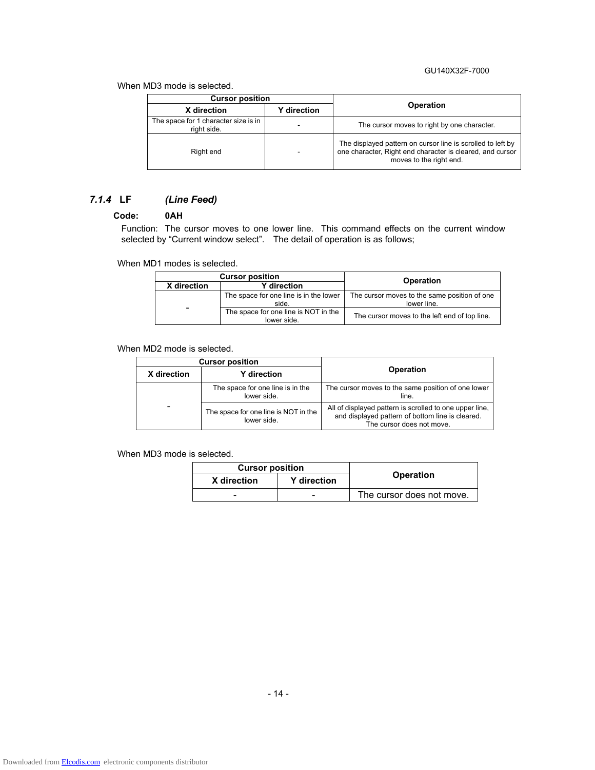#### GU140X32F-7000

When MD3 mode is selected.

| <b>Cursor position</b>                              |   |                                                                                                                                                     |  |
|-----------------------------------------------------|---|-----------------------------------------------------------------------------------------------------------------------------------------------------|--|
| <b>Y</b> direction<br>X direction                   |   | <b>Operation</b>                                                                                                                                    |  |
| The space for 1 character size is in<br>right side. | - | The cursor moves to right by one character.                                                                                                         |  |
| Right end                                           | ۰ | The displayed pattern on cursor line is scrolled to left by<br>one character, Right end character is cleared, and cursor<br>moves to the right end. |  |

# *7.1.4* **LF** *(Line Feed)*

# **Code: 0AH**

Function: The cursor moves to one lower line. This command effects on the current window selected by "Current window select". The detail of operation is as follows;

When MD1 modes is selected.

| <b>Cursor position</b> |                                                     |                                                             |  |
|------------------------|-----------------------------------------------------|-------------------------------------------------------------|--|
| X direction            | <b>Y</b> direction                                  | Operation                                                   |  |
|                        | The space for one line is in the lower<br>side.     | The cursor moves to the same position of one<br>lower line. |  |
| -                      | The space for one line is NOT in the<br>lower side. | The cursor moves to the left end of top line.               |  |

When MD2 mode is selected.

| <b>Cursor position</b> |                                                     |                                                                                                                                          |  |
|------------------------|-----------------------------------------------------|------------------------------------------------------------------------------------------------------------------------------------------|--|
| X direction            | Y direction                                         | <b>Operation</b>                                                                                                                         |  |
|                        | The space for one line is in the<br>lower side.     | The cursor moves to the same position of one lower<br>line.                                                                              |  |
| -                      | The space for one line is NOT in the<br>lower side. | All of displayed pattern is scrolled to one upper line,<br>and displayed pattern of bottom line is cleared.<br>The cursor does not move. |  |

When MD3 mode is selected.

| <b>Cursor position</b>            |   |                           |  |
|-----------------------------------|---|---------------------------|--|
| X direction<br><b>Y</b> direction |   | <b>Operation</b>          |  |
| -                                 | - | The cursor does not move. |  |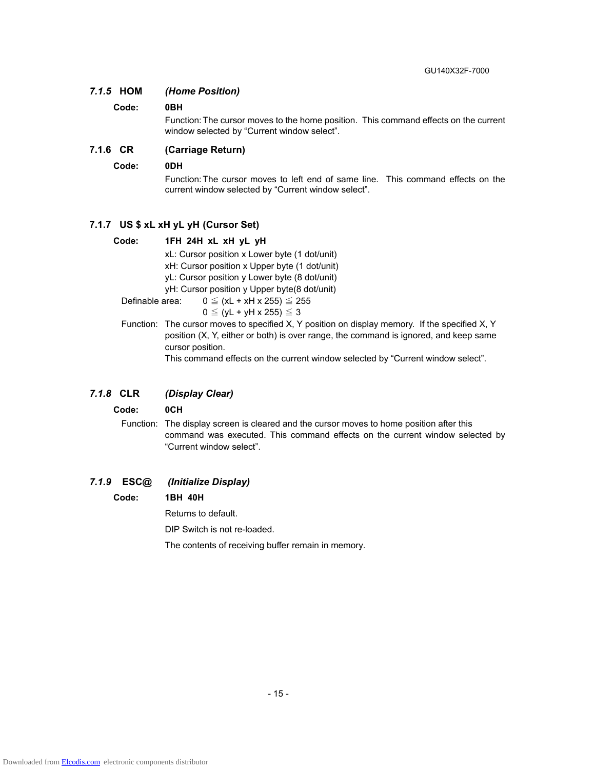#### *7.1.5* **HOM** *(Home Position)*

#### **Code: 0BH**

Function: The cursor moves to the home position. This command effects on the current window selected by "Current window select".

#### **7.1.6 CR (Carriage Return)**

#### **Code: 0DH**

Function: The cursor moves to left end of same line. This command effects on the current window selected by "Current window select".

#### **7.1.7 US \$ xL xH yL yH (Cursor Set)**

#### **Code: 1FH 24H xL xH yL yH**

xL: Cursor position x Lower byte (1 dot/unit)

xH: Cursor position x Upper byte (1 dot/unit)

yL: Cursor position y Lower byte (8 dot/unit)

yH: Cursor position y Upper byte(8 dot/unit)

Definable area:  $0 \leq (xL + xH x 255) \leq 255$ 

- $0 \leq (yL + yH \times 255) \leq 3$
- Function: The cursor moves to specified X, Y position on display memory. If the specified X, Y position (X, Y, either or both) is over range, the command is ignored, and keep same cursor position.

This command effects on the current window selected by "Current window select".

#### *7.1.8* **CLR** *(Display Clear)*

#### **Code: 0CH**

Function: The display screen is cleared and the cursor moves to home position after this command was executed. This command effects on the current window selected by "Current window select".

#### *7.1.9* **ESC@** *(Initialize Display)*

#### **Code: 1BH 40H**

Returns to default.

DIP Switch is not re-loaded.

The contents of receiving buffer remain in memory.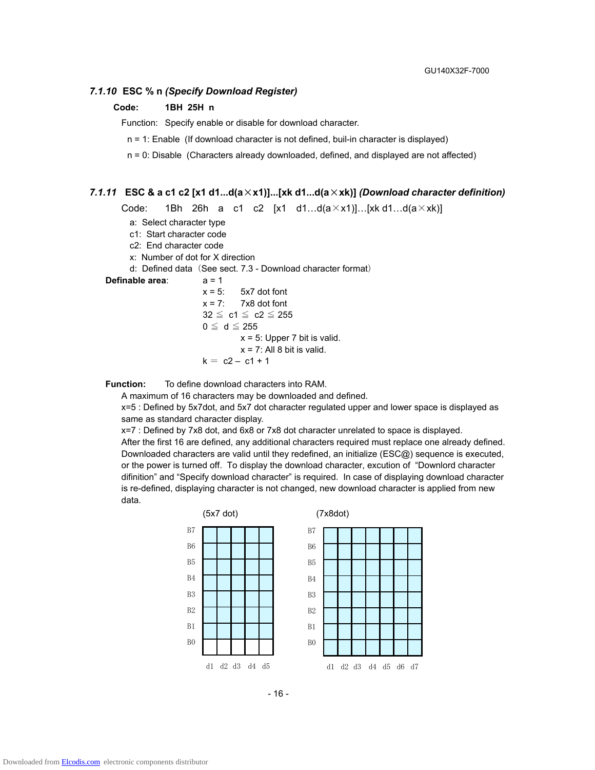#### *7.1.10* **ESC % n** *(Specify Download Register)*

#### **Code: 1BH 25H n**

Function: Specify enable or disable for download character.

n = 1: Enable (If download character is not defined, buil-in character is displayed)

n = 0: Disable (Characters already downloaded, defined, and displayed are not affected)

#### *7.1.11* **ESC & a c1 c2 [x1 d1...d(a**×**x1)]...[xk d1...d(a**×**xk)]** *(Download character definition)*

Code: 1Bh 26h a c1 c2  $[x1 \ d1...d(a \times x1)]...[xk d1...d(a \times xk)]$ 

a: Select character type

c1: Start character code

c2: End character code

x: Number of dot for X direction

d: Defined data (See sect. 7.3 - Download character format)

#### **Definable area:**  $a = 1$

 $x = 5$ :  $5x7$  dot font  $x = 7$ : 7x8 dot font  $32 \leq c1 \leq c2 \leq 255$  $0 \leq d \leq 255$  $x = 5$ : Upper 7 bit is valid.  $x = 7$ : All 8 bit is valid.

$$
k = c2 - c1 + 1
$$

**Function:** To define download characters into RAM.

A maximum of 16 characters may be downloaded and defined.

x=5 : Defined by 5x7dot, and 5x7 dot character regulated upper and lower space is displayed as same as standard character display.

x=7 : Defined by 7x8 dot, and 6x8 or 7x8 dot character unrelated to space is displayed. After the first 16 are defined, any additional characters required must replace one already defined. Downloaded characters are valid until they redefined, an initialize (ESC@) sequence is executed, or the power is turned off. To display the download character, excution of "Downlord character difinition" and "Specify download character" is required. In case of displaying download character is re-defined, displaying character is not changed, new download character is applied from new data.



- 16 -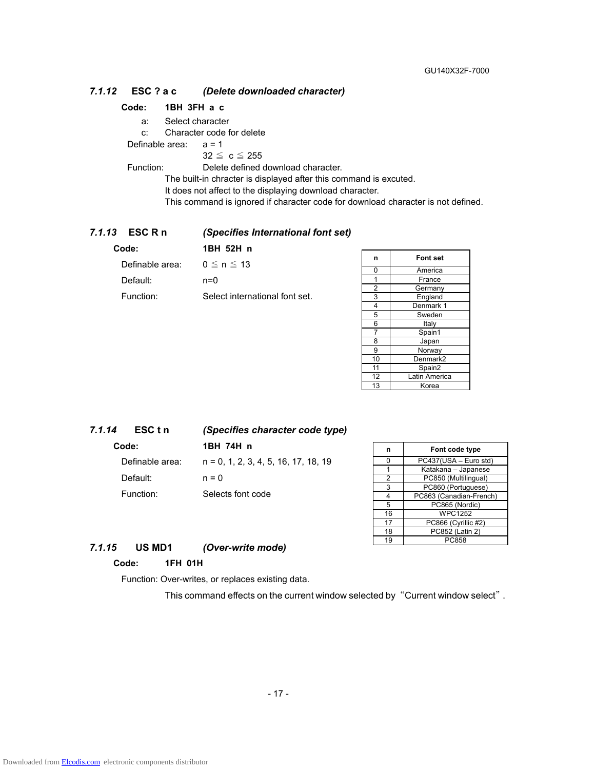#### *7.1.12* **ESC ? a c** *(Delete downloaded character)*

#### **Code: 1BH 3FH a c**

a: Select character

c: Character code for delete

Definable area: a = 1

 $32 \leq c \leq 255$ 

Function: Delete defined download character.

The built-in chracter is displayed after this command is excuted.

It does not affect to the displaying download character.

This command is ignored if character code for download character is not defined.

#### *7.1.13* **ESC R n** *(Specifies International font set)*

| Code:           | 1BH 52H n                      |
|-----------------|--------------------------------|
| Definable area: | $0 \le n \le 13$               |
| Default:        | $n=0$                          |
| Function:       | Select international font set. |
|                 |                                |

| n              | <b>Font set</b> |
|----------------|-----------------|
| 0              | America         |
|                | France          |
| 2              | Germany         |
| 3              | England         |
| 4              | Denmark 1       |
| 5              | Sweden          |
| 6              | Italy           |
| $\overline{7}$ | Spain1          |
| 8              | Japan           |
| 9              | Norway          |
| 10             | Denmark2        |
| 11             | Spain2          |
| 12             | Latin America   |
| 13             | Korea           |

#### *7.1.14* **ESC t n** *(Specifies character code type)*

**Code: 1BH 74H n**  Definable area: n = 0, 1, 2, 3, 4, 5, 16, 17, 18, 19 Default: n = 0 Function: Selects font code

| n  | Font code type          |  |
|----|-------------------------|--|
| ი  | PC437(USA - Euro std)   |  |
| 1  | Katakana - Japanese     |  |
| 2  | PC850 (Multilingual)    |  |
| 3  | PC860 (Portuguese)      |  |
| 4  | PC863 (Canadian-French) |  |
| 5  | PC865 (Nordic)          |  |
| 16 | <b>WPC1252</b>          |  |
| 17 | PC866 (Cyrillic #2)     |  |
| 18 | PC852 (Latin 2)         |  |
| 19 | PC858                   |  |

#### *7.1.15* **US MD1** *(Over-write mode)*

#### **Code: 1FH 01H**

Function: Over-writes, or replaces existing data.

This command effects on the current window selected by "Current window select".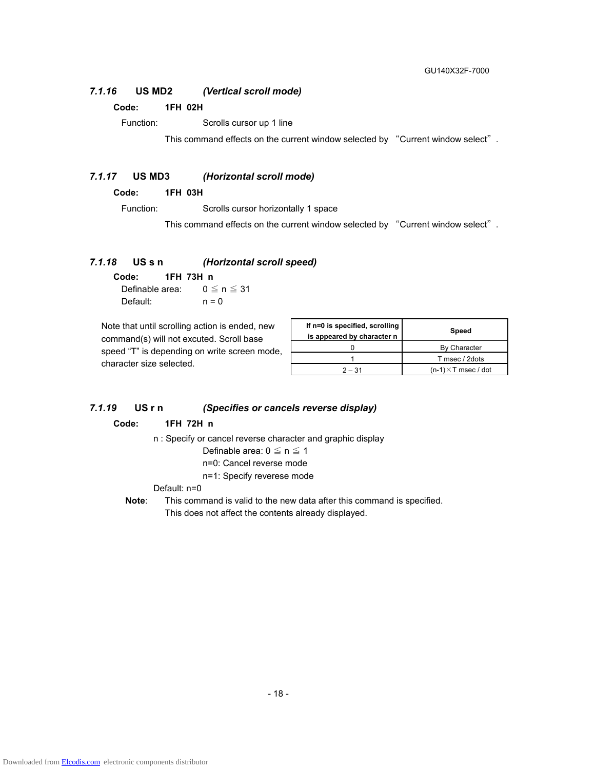#### *7.1.16* **US MD2** *(Vertical scroll mode)*

#### **Code: 1FH 02H**

Function: Scrolls cursor up 1 line

This command effects on the current window selected by "Current window select".

#### *7.1.17* **US MD3** *(Horizontal scroll mode)*

**Code: 1FH 03H** 

Function: Scrolls cursor horizontally 1 space

This command effects on the current window selected by "Current window select".

#### *7.1.18* **US s n** *(Horizontal scroll speed)*

**Code: 1FH 73H n**  Definable area:  $0 \le n \le 31$ Default:  $n = 0$ 

Note that until scrolling action is ended, new command(s) will not excuted. Scroll base speed "T" is depending on write screen mode, character size selected.

| If n=0 is specified, scrolling<br>is appeared by character n | <b>Speed</b>                |
|--------------------------------------------------------------|-----------------------------|
|                                                              | By Character                |
|                                                              | T msec / 2dots              |
| $2 - 31$                                                     | $(n-1) \times T$ msec / dot |

#### *7.1.19* **US r n** *(Specifies or cancels reverse display)*

#### **Code: 1FH 72H n**

n : Specify or cancel reverse character and graphic display

Definable area:  $0 \le n \le 1$ 

- n=0: Cancel reverse mode
- n=1: Specify reverese mode

#### Default: n=0

**Note**: This command is valid to the new data after this command is specified. This does not affect the contents already displayed.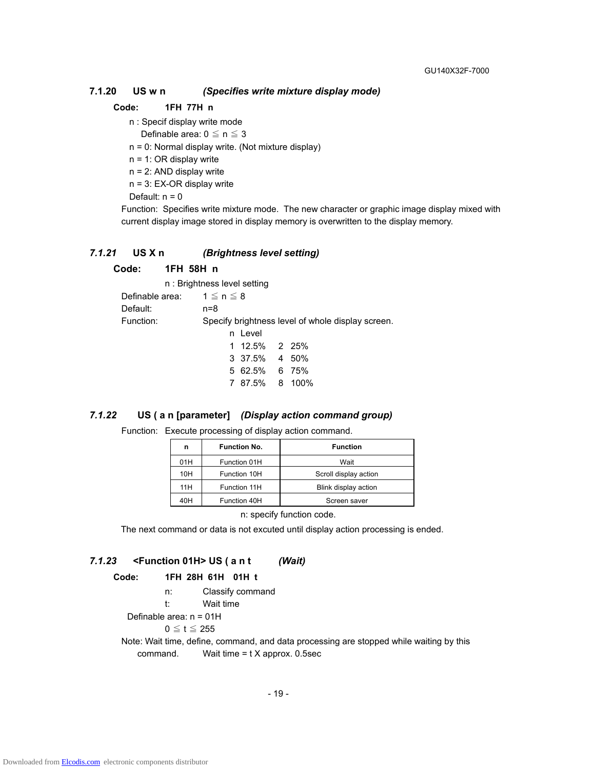#### **7.1.20 US w n** *(Specifies write mixture display mode)*

#### **Code: 1FH 77H n**

n : Specif display write mode

Definable area:  $0 \le n \le 3$ 

- n = 0: Normal display write. (Not mixture display)
- n = 1: OR display write
- n = 2: AND display write
- n = 3: EX-OR display write
- Default:  $n = 0$

Function: Specifies write mixture mode. The new character or graphic image display mixed with current display image stored in display memory is overwritten to the display memory.

#### *7.1.21* **US X n** *(Brightness level setting)*

#### **Code: 1FH 58H n**

|                                 | n: Brightness level setting                       |  |
|---------------------------------|---------------------------------------------------|--|
| Definable area: $1 \le n \le 8$ |                                                   |  |
| Default:                        | $n = 8$                                           |  |
| Function:                       | Specify brightness level of whole display screen. |  |
|                                 | n Level                                           |  |
|                                 | 1 12.5% 2 25%                                     |  |
|                                 | 3 37.5% 4 50%                                     |  |
|                                 | 5 62.5% 6 75%                                     |  |
|                                 | 7 87.5% 8 100%                                    |  |

#### *7.1.22* **US ( a n [parameter]** *(Display action command group)*

#### Function: Execute processing of display action command.

| n   | <b>Function No.</b> | <b>Function</b>       |  |
|-----|---------------------|-----------------------|--|
| 01H | Function 01H        | Wait                  |  |
| 10H | Function 10H        | Scroll display action |  |
| 11H | Function 11H        | Blink display action  |  |
| 40H | Function 40H        | Screen saver          |  |

n: specify function code.

The next command or data is not excuted until display action processing is ended.

#### *7.1.23* **<Function 01H> US ( a n t** *(Wait)*

| 1FH 28H 61H 01H t | Code: |  |  |  |  |  |
|-------------------|-------|--|--|--|--|--|
|-------------------|-------|--|--|--|--|--|

- n: Classify command
- t: Wait time
- Definable area: n = 01H

 $0 \leq t \leq 255$ 

Note: Wait time, define, command, and data processing are stopped while waiting by this command. Wait time = t X approx. 0.5sec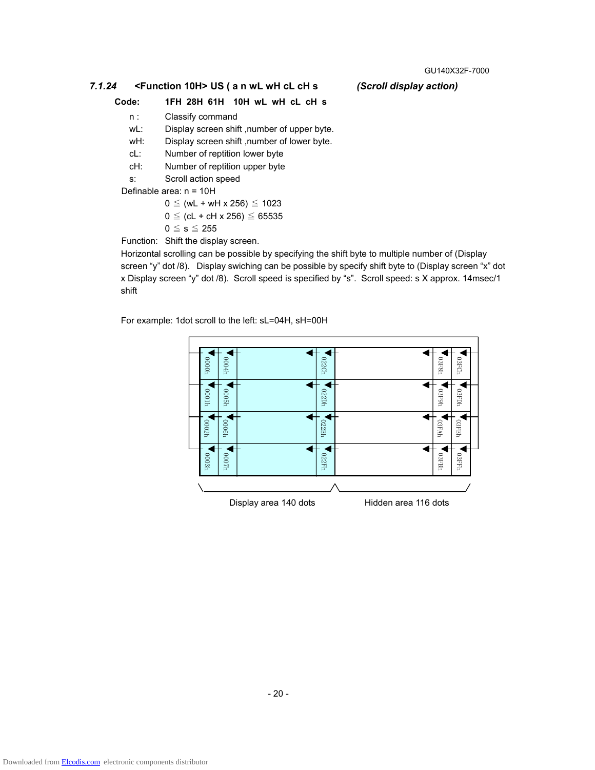#### *7.1.24* **<Function 10H> US ( a n wL wH cL cH s** *(Scroll display action)*

# **Code: 1FH 28H 61H 10H wL wH cL cH s**

- n : Classify command
- wL: Display screen shift ,number of upper byte.
- wH: Display screen shift ,number of lower byte.
- cL: Number of reptition lower byte
- cH: Number of reptition upper byte
- s: Scroll action speed

Definable area: n = 10H

$$
0 \leq (wL + wH \times 256) \leq 1023
$$

$$
0 \leq (cL + cH \times 256) \leq 65535
$$

 $0 \leq s \leq 255$ 

Function: Shift the display screen.

Horizontal scrolling can be possible by specifying the shift byte to multiple number of (Display screen "y" dot /8). Display swiching can be possible by specify shift byte to (Display screen "x" dot x Display screen "y" dot /8). Scroll speed is specified by "s". Scroll speed: s X approx. 14msec/1 shift

For example: 1dot scroll to the left: sL=04H, sH=00H

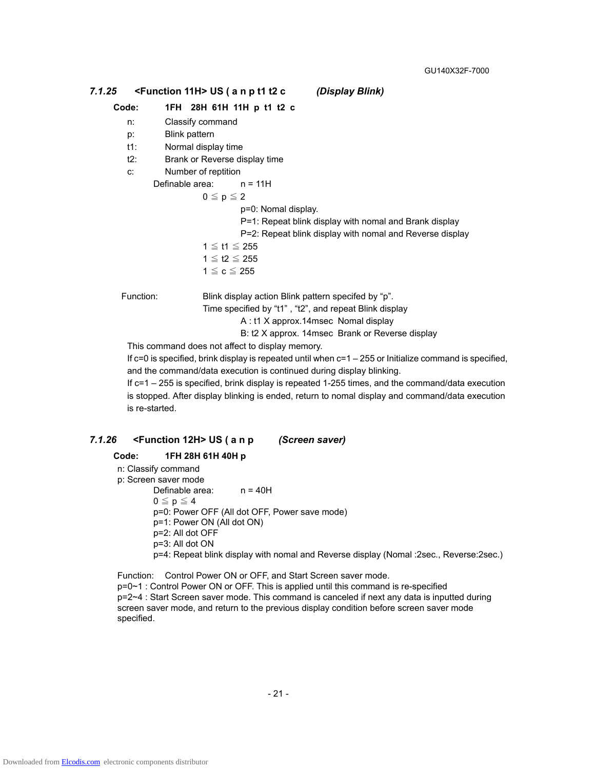# *7.1.25* **<Function 11H> US ( a n p t1 t2 c** *(Display Blink)*

#### **Code: 1FH 28H 61H 11H p t1 t2 c**

- n: Classify command
- p: Blink pattern
- t1: Normal display time
- t2: Brank or Reverse display time
- c: Number of reptition

Definable area: n = 11H

 $0 \leq p \leq 2$ 

p=0: Nomal display.

- P=1: Repeat blink display with nomal and Brank display
	- P=2: Repeat blink display with nomal and Reverse display
- 1 ≦ t1 ≦ 255

$$
1 \leqq \mathsf{t2} \leqq 255
$$
  

$$
1 \leqq \mathsf{c} \leqq 255
$$

Function: Blink display action Blink pattern specifed by "p".

Time specified by "t1" , "t2", and repeat Blink display

A : t1 X approx.14msec Nomal display

B: t2 X approx. 14msec Brank or Reverse display

This command does not affect to display memory.

If  $c=0$  is specified, brink display is repeated until when  $c=1-255$  or Initialize command is specified, and the command/data execution is continued during display blinking.

If c=1 – 255 is specified, brink display is repeated 1-255 times, and the command/data execution is stopped. After display blinking is ended, return to nomal display and command/data execution is re-started.

#### *7.1.26* **<Function 12H> US ( a n p** *(Screen saver)*

#### **Code: 1FH 28H 61H 40H p**

n: Classify command p: Screen saver mode Definable area: n = 40H  $0 \leq p \leq 4$ p=0: Power OFF (All dot OFF, Power save mode) p=1: Power ON (All dot ON) p=2: All dot OFF p=3: All dot ON p=4: Repeat blink display with nomal and Reverse display (Nomal :2sec., Reverse:2sec.)

Function: Control Power ON or OFF, and Start Screen saver mode. p=0~1 : Control Power ON or OFF. This is applied until this command is re-specified p=2~4 : Start Screen saver mode. This command is canceled if next any data is inputted during screen saver mode, and return to the previous display condition before screen saver mode specified.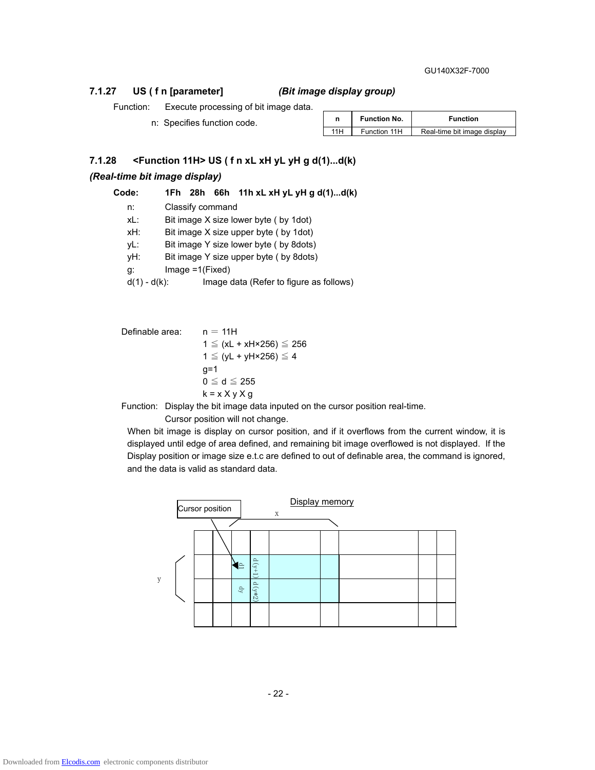#### GU140X32F-7000

### **7.1.27 US ( f n [parameter]** *(Bit image display group)*

Function: Execute processing of bit image data.

n: Specifies function code.

|      | <b>Function No.</b> | <b>Function</b>             |  |
|------|---------------------|-----------------------------|--|
| 11 H | Function 11H        | Real-time bit image display |  |

# **7.1.28 <Function 11H> US ( f n xL xH yL yH g d(1)...d(k)**

#### *(Real-time bit image display)*

**Code: 1Fh 28h 66h 11h xL xH yL yH g d(1)...d(k)** 

 n: Classify command xL: Bit image X size lower byte ( by 1dot) xH: Bit image X size upper byte ( by 1dot) yL: Bit image Y size lower byte ( by 8dots) yH: Bit image Y size upper byte ( by 8dots) g: Image =1(Fixed)  $d(1) - d(k)$ : Image data (Refer to figure as follows)

Definable area:  $n = 11H$  1 ≦ (xL + xH×256) ≦ 256 1  $\le$  (yL + yH×256)  $\le$  4  $q=1$  $0 \leq d \leq 255$  $k = x X y X g$ 

Function: Display the bit image data inputed on the cursor position real-time.

Cursor position will not change.

When bit image is display on cursor position, and if it overflows from the current window, it is displayed until edge of area defined, and remaining bit image overflowed is not displayed. If the Display position or image size e.t.c are defined to out of definable area, the command is ignored, and the data is valid as standard data.

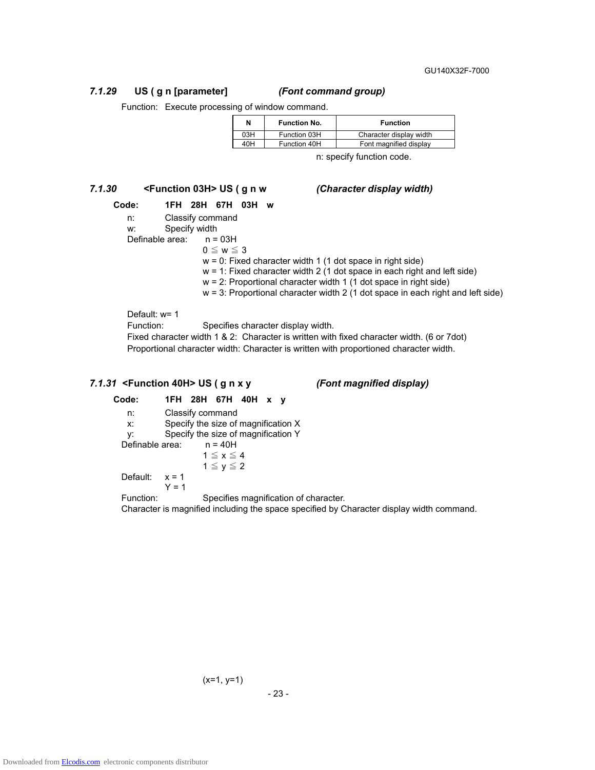GU140X32F-7000

# *7.1.29* **US ( g n [parameter]** *(Font command group)*

Function: Execute processing of window command.

| N   | <b>Function No.</b> | <b>Function</b>         |
|-----|---------------------|-------------------------|
| 03H | Function 03H        | Character display width |
| 40H | Function 40H        | Font magnified display  |

n: specify function code.

# *7.1.30* **<Function 03H> US ( g n w** *(Character display width)*

# **Code: 1FH 28H 67H 03H w**

n: Classify command

- w: Specify width
- Definable area: n = 03H
	- $0 \leq w \leq 3$

 $w = 0$ : Fixed character width 1 (1 dot space in right side)

- $w = 1$ : Fixed character width 2 (1 dot space in each right and left side)
- w = 2: Proportional character width 1 (1 dot space in right side)
- $w = 3$ : Proportional character width 2 (1 dot space in each right and left side)

Default: w= 1

Function: Specifies character display width.

Fixed character width 1 & 2: Character is written with fixed character width. (6 or 7dot) Proportional character width: Character is written with proportioned character width.

#### *7.1.31* **<Function 40H> US ( g n x y** *(Font magnified display)*

**Code: 1FH 28H 67H 40H x y**  n: Classify command x: Specify the size of magnification X y: Specify the size of magnification Y<br>
Sefinable area:  $n = 40H$ Definable area:  $1 \le x \le 4$  $1 \le y \le 2$ Default:  $x = 1$  $Y = 1$ Function: Specifies magnification of character.

Character is magnified including the space specified by Character display width command.

$$
(x=1, y=1)
$$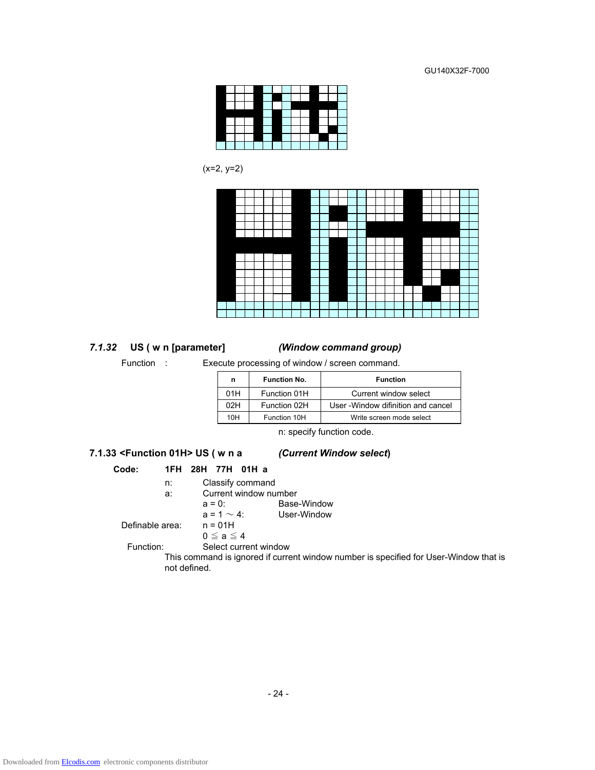

 $(x=2, y=2)$ 



#### *7.1.32* **US ( w n [parameter]** *(Window command group)*

Function : Execute processing of window / screen command.

| n   | <b>Function No.</b> | <b>Function</b>                     |  |  |
|-----|---------------------|-------------------------------------|--|--|
| 01H | Function 01H        | Current window select               |  |  |
| 02H | Function 02H        | User - Window difinition and cancel |  |  |
| 10H | Function 10H        | Write screen mode select            |  |  |

n: specify function code.

#### **7.1.33 <Function 01H> US ( w n a** *(Current Window select***)**

# **Code: 1FH 28H 77H 01H a**

- n: Classify command
	-
- a: Current window number<br> $a = 0$ : Base Base-Window
	- $a = 1 \sim 4$ : User-Window<br>n = 01H

Definable area:

 $0 \le a \le 4$ 

Function: Select current window

This command is ignored if current window number is specified for User-Window that is not defined.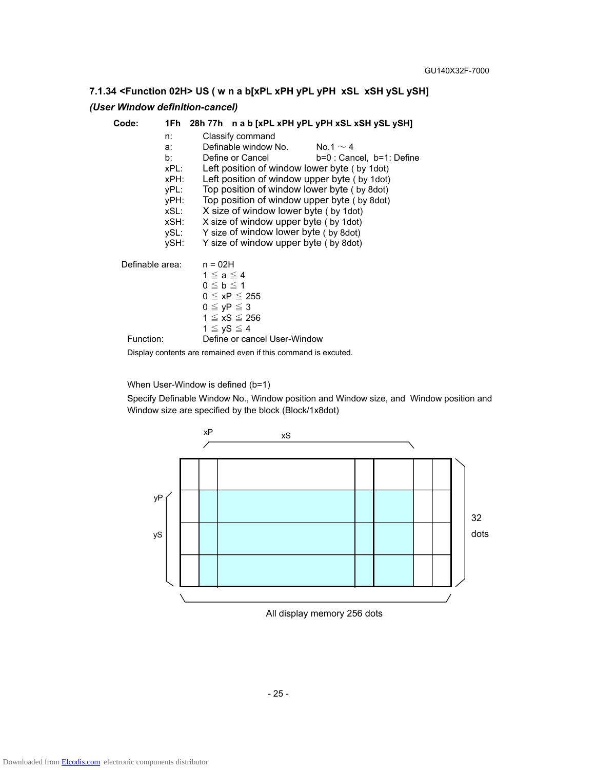# **7.1.34 <Function 02H> US ( w n a b[xPL xPH yPL yPH xSL xSH ySL ySH]**

# *(User Window definition-cancel)*

| Code:           |                                                                                |                                                             |                                                                                                                                                                                                                                           | 1Fh 28h 77h n a b [xPL xPH yPL yPH xSL xSH ySL ySH]                                                                                                                                                                     |
|-----------------|--------------------------------------------------------------------------------|-------------------------------------------------------------|-------------------------------------------------------------------------------------------------------------------------------------------------------------------------------------------------------------------------------------------|-------------------------------------------------------------------------------------------------------------------------------------------------------------------------------------------------------------------------|
|                 | n:<br>a:<br>b:<br>xPL:<br>xPH:<br>yPL:<br>yPH:<br>xSL:<br>xSH:<br>ySL:<br>ySH: |                                                             | Classify command<br>Definable window No. $\sim 4$<br>Define or Cancel<br>X size of window lower byte (by 1dot)<br>X size of window upper byte (by 1dot)<br>Y size of window lower byte (by 8dot)<br>Y size of window upper byte (by 8dot) | b=0 : Cancel, b=1: Define<br>Left position of window lower byte (by 1dot)<br>Left position of window upper byte (by 1dot)<br>Top position of window lower byte (by 8dot)<br>Top position of window upper byte (by 8dot) |
| Definable area: |                                                                                | $n = 02H$<br>$1 \le a \le 4$                                |                                                                                                                                                                                                                                           |                                                                                                                                                                                                                         |
|                 |                                                                                | $0 \leq b \leq 1$<br>$0 \leq yP \leq 3$<br>$1 \le yS \le 4$ | $0 \leq xP \leq 255$<br>$1 \le xS \le 256$                                                                                                                                                                                                |                                                                                                                                                                                                                         |
| Function:       |                                                                                |                                                             | Define or cancel User-Window                                                                                                                                                                                                              |                                                                                                                                                                                                                         |
|                 |                                                                                |                                                             | Display contents are remained even if this command is excuted.                                                                                                                                                                            |                                                                                                                                                                                                                         |

When User-Window is defined (b=1)

Specify Definable Window No., Window position and Window size, and Window position and Window size are specified by the block (Block/1x8dot)



All display memory 256 dots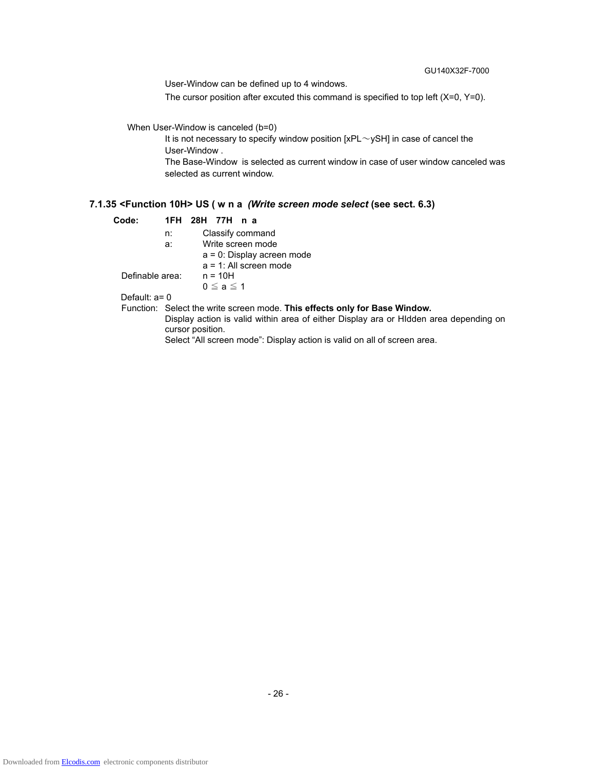User-Window can be defined up to 4 windows.

The cursor position after excuted this command is specified to top left  $(X=0, Y=0)$ .

#### When User-Window is canceled (b=0)

It is not necessary to specify window position  $[xPL \sim ySH]$  in case of cancel the User-Window .

The Base-Window is selected as current window in case of user window canceled was selected as current window.

#### **7.1.35 <Function 10H> US ( w n a** *(Write screen mode select* **(see sect. 6.3)**

| Code:<br>1FH 28H 77H n a |  |
|--------------------------|--|
|--------------------------|--|

|  | Classify command |
|--|------------------|
|  | $\cdots$         |

a: Write screen mode

 a = 0: Display acreen mode a = 1: All screen mode

Definable area: n = 10H

 $0 \leq a \leq 1$ 

Default: a= 0

Function: Select the write screen mode. **This effects only for Base Window.** Display action is valid within area of either Display ara or HIdden area depending on cursor position.

Select "All screen mode": Display action is valid on all of screen area.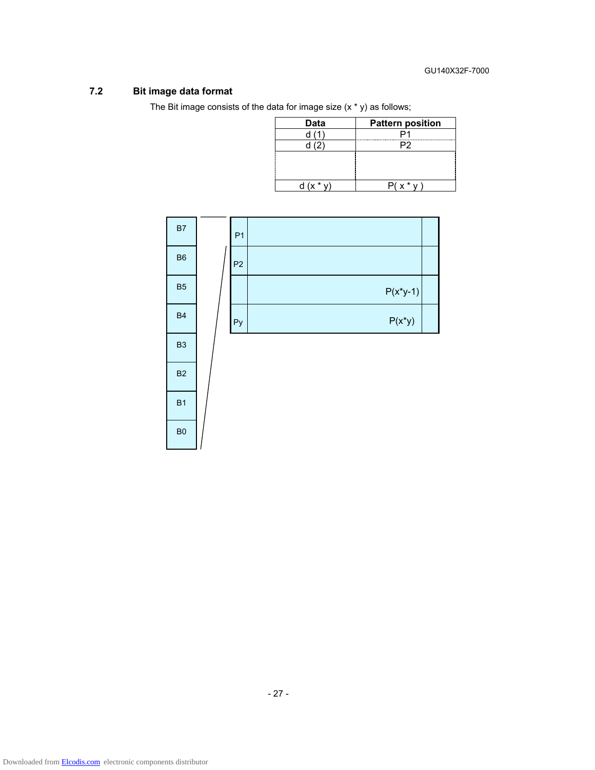# **7.2 Bit image data format**

 $\overline{\phantom{a}}$ 

- -

The Bit image consists of the data for image size (x \* y) as follows;

| <b>Data</b> | <b>Pattern position</b> |
|-------------|-------------------------|
|             |                         |
|             | פכ                      |
|             |                         |
|             |                         |
|             |                         |
|             |                         |

| B7             | P <sub>1</sub> |             |  |
|----------------|----------------|-------------|--|
| ${\sf B6}$     | P <sub>2</sub> |             |  |
| B <sub>5</sub> |                | $P(x^*y-1)$ |  |
| <b>B4</b>      | Py             | $P(x^*y)$   |  |
| B <sub>3</sub> |                |             |  |
| B <sub>2</sub> |                |             |  |
| B <sub>1</sub> |                |             |  |
| B <sub>0</sub> |                |             |  |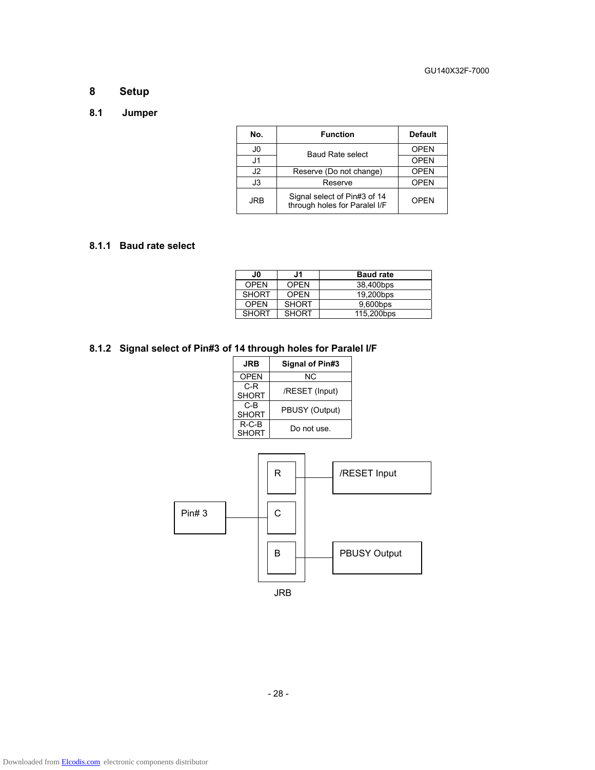# **8 Setup**

#### **8.1 Jumper**

| No. | <b>Function</b>                                               | <b>Default</b> |
|-----|---------------------------------------------------------------|----------------|
| J0  | <b>Baud Rate select</b>                                       | <b>OPEN</b>    |
| J1  |                                                               | <b>OPEN</b>    |
| J2  | Reserve (Do not change)                                       | <b>OPEN</b>    |
| J3  | Reserve                                                       | <b>OPEN</b>    |
| JRB | Signal select of Pin#3 of 14<br>through holes for Paralel I/F | <b>OPEN</b>    |

#### **8.1.1 Baud rate select**

| J0           | J1           | <b>Baud rate</b> |
|--------------|--------------|------------------|
| <b>OPEN</b>  | <b>OPEN</b>  | 38,400bps        |
| <b>SHORT</b> | <b>OPEN</b>  | 19.200bps        |
| OPFN         | <b>SHORT</b> | 9,600bps         |
| <b>SHORT</b> | <b>SHORT</b> | 115,200bps       |

# **8.1.2 Signal select of Pin#3 of 14 through holes for Paralel I/F**

| <b>JRB</b>              | Signal of Pin#3 |
|-------------------------|-----------------|
| <b>OPEN</b>             | ΝC              |
| C-R<br><b>SHORT</b>     | /RESET (Input)  |
| C-B<br><b>SHORT</b>     | PBUSY (Output)  |
| $R-C-B$<br><b>SHORT</b> | Do not use.     |

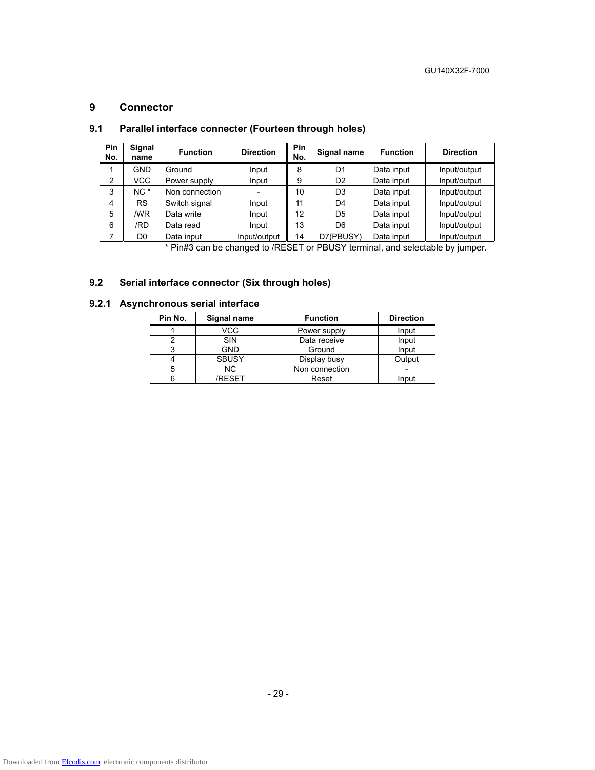#### **9 Connector**

| Pin<br>No.     | Signal<br>name  | <b>Function</b> | <b>Direction</b> | Pin<br>No. | Signal name    | <b>Function</b> | <b>Direction</b> |
|----------------|-----------------|-----------------|------------------|------------|----------------|-----------------|------------------|
|                | GND             | Ground          | Input            | 8          | D <sub>1</sub> | Data input      | Input/output     |
| $\overline{2}$ | VCC.            | Power supply    | Input            | 9          | D <sub>2</sub> | Data input      | Input/output     |
| 3              | NC <sup>*</sup> | Non connection  |                  | 10         | D <sub>3</sub> | Data input      | Input/output     |
| 4              | <b>RS</b>       | Switch signal   | Input            | 11         | D <sub>4</sub> | Data input      | Input/output     |
| 5              | /WR             | Data write      | Input            | 12         | D <sub>5</sub> | Data input      | Input/output     |
| 6              | /RD             | Data read       | Input            | 13         | D <sub>6</sub> | Data input      | Input/output     |
|                | D <sub>0</sub>  | Data input      | Input/output     | 14         | D7(PBUSY)      | Data input      | Input/output     |

# **9.1 Parallel interface connecter (Fourteen through holes)**

\* Pin#3 can be changed to /RESET or PBUSY terminal, and selectable by jumper.

# **9.2 Serial interface connector (Six through holes)**

# **9.2.1 Asynchronous serial interface**

| Pin No. | Signal name  | <b>Function</b> | <b>Direction</b> |
|---------|--------------|-----------------|------------------|
|         | VCC          | Power supply    | Input            |
|         | SIN          | Data receive    | Input            |
|         | <b>GND</b>   | Ground          | Input            |
|         | <b>SBUSY</b> | Display busy    | Output           |
| 5       | NC.          | Non connection  |                  |
|         | <b>RESET</b> | Reset           | Input            |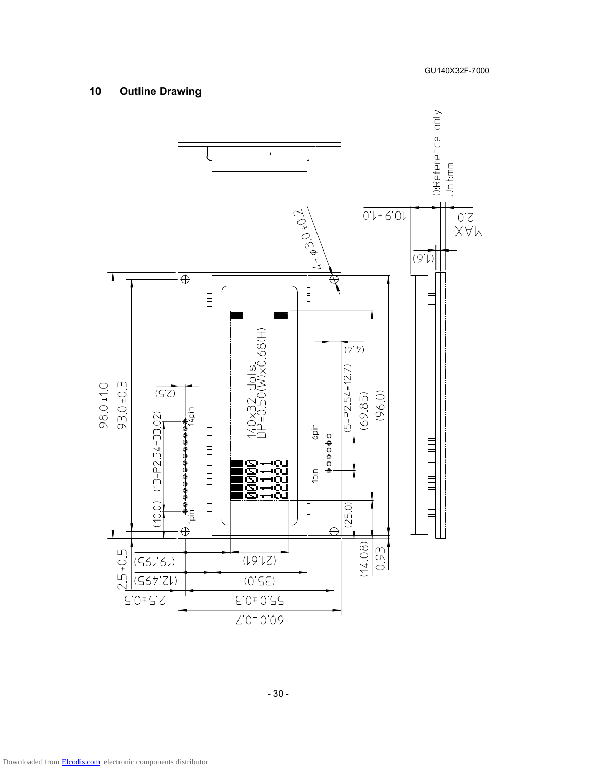# **10 Outline Drawing**



Downloaded from [Elcodis.com](http://elcodis.com/parts/765602/GU140X32F-7000.html) electronic components distributor